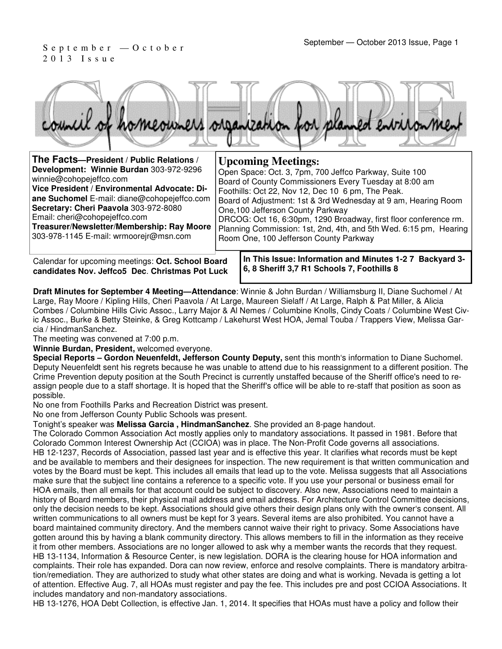# 2 0 1 3 I s s u e



| The Facts-President / Public Relations /                                                                                                                                                                                                                                                                                            | <b>Upcoming Meetings:</b>                                                                                                                                                                                                                                                                                                                                                                                                                                       |
|-------------------------------------------------------------------------------------------------------------------------------------------------------------------------------------------------------------------------------------------------------------------------------------------------------------------------------------|-----------------------------------------------------------------------------------------------------------------------------------------------------------------------------------------------------------------------------------------------------------------------------------------------------------------------------------------------------------------------------------------------------------------------------------------------------------------|
| Development: Winnie Burdan 303-972-9296<br>winnie@cohopejeffco.com<br>Vice President / Environmental Advocate: Di-<br>ane Suchomel E-mail: diane@cohopejeffco.com<br>Secretary: Cheri Paavola 303-972-8080<br>Email: cheri@cohopejeffco.com<br>Treasurer/Newsletter/Membership: Ray Moore<br>303-978-1145 E-mail: wrmoorejr@msn.com | Open Space: Oct. 3, 7pm, 700 Jeffco Parkway, Suite 100<br>Board of County Commissioners Every Tuesday at 8:00 am<br>Foothills: Oct 22, Nov 12, Dec 10 6 pm, The Peak.<br>Board of Adjustment: 1st & 3rd Wednesday at 9 am, Hearing Room<br>One, 100 Jefferson County Parkway<br>DRCOG: Oct 16, 6:30pm, 1290 Broadway, first floor conference rm.<br>Planning Commission: 1st, 2nd, 4th, and 5th Wed. 6:15 pm, Hearing<br>Room One, 100 Jefferson County Parkway |
|                                                                                                                                                                                                                                                                                                                                     |                                                                                                                                                                                                                                                                                                                                                                                                                                                                 |

Calendar for upcoming meetings: **Oct. School Board candidates Nov. Jeffco5 Dec**. **Christmas Pot Luck** **In This Issue: Information and Minutes 1-2 7 Backyard 3- 6, 8 Sheriff 3,7 R1 Schools 7, Foothills 8** 

**Draft Minutes for September 4 Meeting—Attendance**: Winnie & John Burdan / Williamsburg II, Diane Suchomel / At Large, Ray Moore / Kipling Hills, Cheri Paavola / At Large, Maureen Sielaff / At Large, Ralph & Pat Miller, & Alicia Combes / Columbine Hills Civic Assoc., Larry Major & Al Nemes / Columbine Knolls, Cindy Coats / Columbine West Civic Assoc., Burke & Betty Steinke, & Greg Kottcamp / Lakehurst West HOA, Jemal Touba / Trappers View, Melissa Garcia / HindmanSanchez.

The meeting was convened at 7:00 p.m.

**Winnie Burdan, President,** welcomed everyone.

**Special Reports – Gordon Neuenfeldt, Jefferson County Deputy,** sent this month's information to Diane Suchomel. Deputy Neuenfeldt sent his regrets because he was unable to attend due to his reassignment to a different position. The Crime Prevention deputy position at the South Precinct is currently unstaffed because of the Sheriff office's need to reassign people due to a staff shortage. It is hoped that the Sheriff's office will be able to re-staff that position as soon as possible.

No one from Foothills Parks and Recreation District was present.

No one from Jefferson County Public Schools was present.

Tonight's speaker was **Melissa Garcia , HindmanSanchez**. She provided an 8-page handout.

The Colorado Common Association Act mostly applies only to mandatory associations. It passed in 1981. Before that Colorado Common Interest Ownership Act (CCIOA) was in place. The Non-Profit Code governs all associations. HB 12-1237, Records of Association, passed last year and is effective this year. It clarifies what records must be kept and be available to members and their designees for inspection. The new requirement is that written communication and votes by the Board must be kept. This includes all emails that lead up to the vote. Melissa suggests that all Associations make sure that the subject line contains a reference to a specific vote. If you use your personal or business email for HOA emails, then all emails for that account could be subject to discovery. Also new, Associations need to maintain a history of Board members, their physical mail address and email address. For Architecture Control Committee decisions, only the decision needs to be kept. Associations should give others their design plans only with the owner's consent. All written communications to all owners must be kept for 3 years. Several items are also prohibited. You cannot have a board maintained community directory. And the members cannot waive their right to privacy. Some Associations have gotten around this by having a blank community directory. This allows members to fill in the information as they receive it from other members. Associations are no longer allowed to ask why a member wants the records that they request. HB 13-1134, Information & Resource Center, is new legislation. DORA is the clearing house for HOA information and complaints. Their role has expanded. Dora can now review, enforce and resolve complaints. There is mandatory arbitration/remediation. They are authorized to study what other states are doing and what is working. Nevada is getting a lot of attention. Effective Aug. 7, all HOAs must register and pay the fee. This includes pre and post CCIOA Associations. It includes mandatory and non-mandatory associations.

HB 13-1276, HOA Debt Collection, is effective Jan. 1, 2014. It specifies that HOAs must have a policy and follow their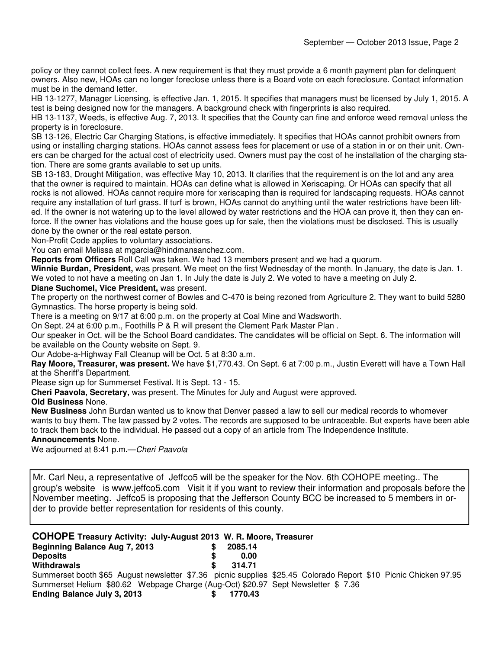policy or they cannot collect fees. A new requirement is that they must provide a 6 month payment plan for delinquent owners. Also new, HOAs can no longer foreclose unless there is a Board vote on each foreclosure. Contact information must be in the demand letter.

HB 13-1277, Manager Licensing, is effective Jan. 1, 2015. It specifies that managers must be licensed by July 1, 2015. A test is being designed now for the managers. A background check with fingerprints is also required.

HB 13-1137, Weeds, is effective Aug. 7, 2013. It specifies that the County can fine and enforce weed removal unless the property is in foreclosure.

SB 13-126, Electric Car Charging Stations, is effective immediately. It specifies that HOAs cannot prohibit owners from using or installing charging stations. HOAs cannot assess fees for placement or use of a station in or on their unit. Owners can be charged for the actual cost of electricity used. Owners must pay the cost of he installation of the charging station. There are some grants available to set up units.

SB 13-183, Drought Mitigation, was effective May 10, 2013. It clarifies that the requirement is on the lot and any area that the owner is required to maintain. HOAs can define what is allowed in Xeriscaping. Or HOAs can specify that all rocks is not allowed. HOAs cannot require more for xeriscaping than is required for landscaping requests. HOAs cannot require any installation of turf grass. If turf is brown, HOAs cannot do anything until the water restrictions have been lifted. If the owner is not watering up to the level allowed by water restrictions and the HOA can prove it, then they can enforce. If the owner has violations and the house goes up for sale, then the violations must be disclosed. This is usually done by the owner or the real estate person.

Non-Profit Code applies to voluntary associations.

You can email Melissa at mgarcia@hindmansanchez.com.

**Reports from Officers** Roll Call was taken. We had 13 members present and we had a quorum.

**Winnie Burdan, President,** was present. We meet on the first Wednesday of the month. In January, the date is Jan. 1. We voted to not have a meeting on Jan 1. In July the date is July 2. We voted to have a meeting on July 2.

#### **Diane Suchomel, Vice President,** was present.

The property on the northwest corner of Bowles and C-470 is being rezoned from Agriculture 2. They want to build 5280 Gymnastics. The horse property is being sold.

There is a meeting on 9/17 at 6:00 p.m. on the property at Coal Mine and Wadsworth.

On Sept. 24 at 6:00 p.m., Foothills P & R will present the Clement Park Master Plan .

Our speaker in Oct. will be the School Board candidates. The candidates will be official on Sept. 6. The information will be available on the County website on Sept. 9.

Our Adobe-a-Highway Fall Cleanup will be Oct. 5 at 8:30 a.m.

**Ray Moore, Treasurer, was present.** We have \$1,770.43. On Sept. 6 at 7:00 p.m., Justin Everett will have a Town Hall at the Sheriff's Department.

Please sign up for Summerset Festival. It is Sept. 13 - 15.

**Cheri Paavola, Secretary,** was present. The Minutes for July and August were approved.

#### **Old Business** None.

**New Business** John Burdan wanted us to know that Denver passed a law to sell our medical records to whomever wants to buy them. The law passed by 2 votes. The records are supposed to be untraceable. But experts have been able to track them back to the individual. He passed out a copy of an article from The Independence Institute.

#### **Announcements** None.

We adjourned at 8:41 p.m**.**—Cheri Paavola

Mr. Carl Neu, a representative of Jeffco5 will be the speaker for the Nov. 6th COHOPE meeting.. The group's website is www.jeffco5.com Visit it if you want to review their information and proposals before the November meeting. Jeffco5 is proposing that the Jefferson County BCC be increased to 5 members in order to provide better representation for residents of this county.

#### **COHOPE Treasury Activity: July-August 2013 W. R. Moore, Treasurer Beginning Balance Aug 7, 2013.**

| <b>Degitional Datative Aug 7, 2013</b>                                                                          | 200J.I <del>T</del> |  |  |
|-----------------------------------------------------------------------------------------------------------------|---------------------|--|--|
| <b>Deposits</b>                                                                                                 | 0.00                |  |  |
| <b>Withdrawals</b>                                                                                              | 314.71              |  |  |
| Summerset booth \$65 August newsletter \$7.36 picnic supplies \$25.45 Colorado Report \$10 Picnic Chicken 97.95 |                     |  |  |
| Summerset Helium \$80.62 Webpage Charge (Aug-Oct) \$20.97 Sept Newsletter \$7.36                                |                     |  |  |
| Ending Balance July 3, 2013                                                                                     | 1770.43             |  |  |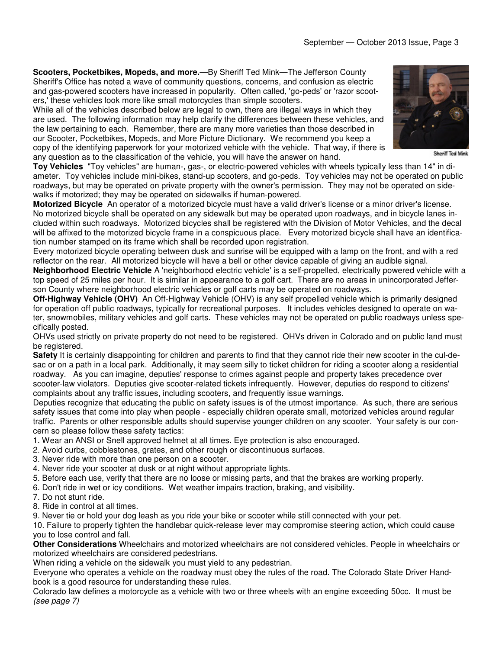**Scooters, Pocketbikes, Mopeds, and more.**—By Sheriff Ted Mink—The Jefferson County Sheriff's Office has noted a wave of community questions, concerns, and confusion as electric and gas-powered scooters have increased in popularity. Often called, 'go-peds' or 'razor scooters,' these vehicles look more like small motorcycles than simple scooters.

While all of the vehicles described below are legal to own, there are illegal ways in which they are used. The following information may help clarify the differences between these vehicles, and the law pertaining to each. Remember, there are many more varieties than those described in our Scooter, Pocketbikes, Mopeds, and More Picture Dictionary. We recommend you keep a copy of the identifying paperwork for your motorized vehicle with the vehicle. That way, if there is any question as to the classification of the vehicle, you will have the answer on hand.

**Toy Vehicles** "Toy vehicles" are human-, gas-, or electric-powered vehicles with wheels typically less than 14" in diameter. Toy vehicles include mini-bikes, stand-up scooters, and go-peds. Toy vehicles may not be operated on public roadways, but may be operated on private property with the owner's permission. They may not be operated on sidewalks if motorized; they may be operated on sidewalks if human-powered.

**Motorized Bicycle** An operator of a motorized bicycle must have a valid driver's license or a minor driver's license. No motorized bicycle shall be operated on any sidewalk but may be operated upon roadways, and in bicycle lanes included within such roadways. Motorized bicycles shall be registered with the Division of Motor Vehicles, and the decal will be affixed to the motorized bicycle frame in a conspicuous place. Every motorized bicycle shall have an identification number stamped on its frame which shall be recorded upon registration.

Every motorized bicycle operating between dusk and sunrise will be equipped with a lamp on the front, and with a red reflector on the rear. All motorized bicycle will have a bell or other device capable of giving an audible signal.

**Neighborhood Electric Vehicle** A 'neighborhood electric vehicle' is a self-propelled, electrically powered vehicle with a top speed of 25 miles per hour. It is similar in appearance to a golf cart. There are no areas in unincorporated Jefferson County where neighborhood electric vehicles or golf carts may be operated on roadways.

**Off-Highway Vehicle (OHV)** An Off-Highway Vehicle (OHV) is any self propelled vehicle which is primarily designed for operation off public roadways, typically for recreational purposes. It includes vehicles designed to operate on water, snowmobiles, military vehicles and golf carts. These vehicles may not be operated on public roadways unless specifically posted.

OHVs used strictly on private property do not need to be registered. OHVs driven in Colorado and on public land must be registered.

**Safety** It is certainly disappointing for children and parents to find that they cannot ride their new scooter in the cul-desac or on a path in a local park. Additionally, it may seem silly to ticket children for riding a scooter along a residential roadway. As you can imagine, deputies' response to crimes against people and property takes precedence over scooter-law violators. Deputies give scooter-related tickets infrequently. However, deputies do respond to citizens' complaints about any traffic issues, including scooters, and frequently issue warnings.

Deputies recognize that educating the public on safety issues is of the utmost importance. As such, there are serious safety issues that come into play when people - especially children operate small, motorized vehicles around regular traffic. Parents or other responsible adults should supervise younger children on any scooter. Your safety is our concern so please follow these safety tactics:

- 1. Wear an ANSI or Snell approved helmet at all times. Eye protection is also encouraged.
- 2. Avoid curbs, cobblestones, grates, and other rough or discontinuous surfaces.
- 3. Never ride with more than one person on a scooter.
- 4. Never ride your scooter at dusk or at night without appropriate lights.
- 5. Before each use, verify that there are no loose or missing parts, and that the brakes are working properly.
- 6. Don't ride in wet or icy conditions. Wet weather impairs traction, braking, and visibility.
- 7. Do not stunt ride.
- 8. Ride in control at all times.

9. Never tie or hold your dog leash as you ride your bike or scooter while still connected with your pet.

10. Failure to properly tighten the handlebar quick-release lever may compromise steering action, which could cause you to lose control and fall.

**Other Considerations** Wheelchairs and motorized wheelchairs are not considered vehicles. People in wheelchairs or motorized wheelchairs are considered pedestrians.

When riding a vehicle on the sidewalk you must yield to any pedestrian.

Everyone who operates a vehicle on the roadway must obey the rules of the road. The Colorado State Driver Handbook is a good resource for understanding these rules.

Colorado law defines a motorcycle as a vehicle with two or three wheels with an engine exceeding 50cc. It must be (see page 7)



Sheriff Ted Mink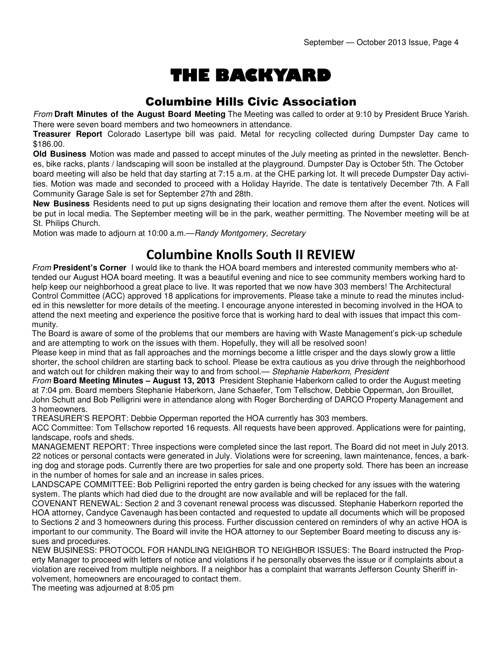# THE BACKYARD

## Columbine Hills Civic Association

From **Draft Minutes of the August Board Meeting** The Meeting was called to order at 9:10 by President Bruce Yarish. There were seven board members and two homeowners in attendance.

**Treasurer Report** Colorado Lasertype bill was paid. Metal for recycling collected during Dumpster Day came to \$186.00.

**Old Business** Motion was made and passed to accept minutes of the July meeting as printed in the newsletter. Benches, bike racks, plants / landscaping will soon be installed at the playground. Dumpster Day is October 5th. The October board meeting will also be held that day starting at 7:15 a.m. at the CHE parking lot. It will precede Dumpster Day activities. Motion was made and seconded to proceed with a Holiday Hayride. The date is tentatively December 7th. A Fall Community Garage Sale is set for September 27th and 28th.

**New Business** Residents need to put up signs designating their location and remove them after the event. Notices will be put in local media. The September meeting will be in the park, weather permitting. The November meeting will be at St. Philips Church.

Motion was made to adjourn at 10:00 a.m.—Randy Montgomery, Secretary

# Columbine Knolls South II REVIEW

From **President's Corner** I would like to thank the HOA board members and interested community members who attended our August HOA board meeting. It was a beautiful evening and nice to see community members working hard to help keep our neighborhood a great place to live. It was reported that we now have 303 members! The Architectural Control Committee (ACC) approved 18 applications for improvements. Please take a minute to read the minutes included in this newsletter for more details of the meeting. I encourage anyone interested in becoming involved in the HOA to attend the next meeting and experience the positive force that is working hard to deal with issues that impact this community.

The Board is aware of some of the problems that our members are having with Waste Management's pick-up schedule and are attempting to work on the issues with them. Hopefully, they will all be resolved soon!

Please keep in mind that as fall approaches and the mornings become a little crisper and the days slowly grow a little shorter, the school children are starting back to school. Please be extra cautious as you drive through the neighborhood and watch out for children making their way to and from school.— Stephanie Haberkorn, President

From **Board Meeting Minutes – August 13, 2013** President Stephanie Haberkorn called to order the August meeting at 7:04 pm. Board members Stephanie Haberkorn, Jane Schaefer, Tom Tellschow, Debbie Opperman, Jon Brouillet, John Schutt and Bob Pelligrini were in attendance along with Roger Borcherding of DARCO Property Management and 3 homeowners.

TREASURER'S REPORT: Debbie Opperman reported the HOA currently has 303 members.

ACC Committee: Tom Tellschow reported 16 requests. All requests have been approved. Applications were for painting, landscape, roofs and sheds.

MANAGEMENT REPORT: Three inspections were completed since the last report. The Board did not meet in July 2013. 22 notices or personal contacts were generated in July. Violations were for screening, lawn maintenance, fences, a barking dog and storage pods. Currently there are two properties for sale and one property sold. There has been an increase in the number of homes for sale and an increase in sales prices.

LANDSCAPE COMMITTEE: Bob Pelligrini reported the entry garden is being checked for any issues with the watering system. The plants which had died due to the drought are now available and will be replaced for the fall.

COVENANT RENEWAL: Section 2 and 3 covenant renewal process was discussed. Stephanie Haberkorn reported the HOA attorney, Candyce Cavenaugh has been contacted and requested to update all documents which will be proposed to Sections 2 and 3 homeowners during this process. Further discussion centered on reminders of why an active HOA is important to our community. The Board will invite the HOA attorney to our September Board meeting to discuss any issues and procedures.

NEW BUSINESS: PROTOCOL FOR HANDLING NEIGHBOR TO NEIGHBOR ISSUES: The Board instructed the Property Manager to proceed with letters of notice and violations if he personally observes the issue or if complaints about a violation are received from multiple neighbors. If a neighbor has a complaint that warrants Jefferson County Sheriff involvement, homeowners are encouraged to contact them.

The meeting was adjourned at 8:05 pm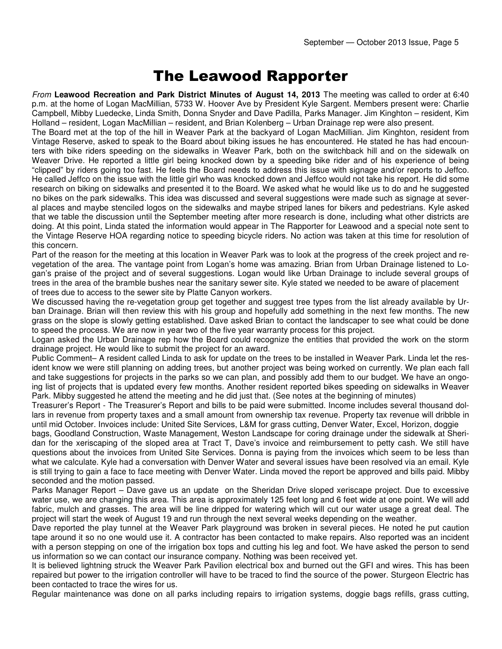# The Leawood Rapporter

From **Leawood Recreation and Park District Minutes of August 14, 2013** The meeting was called to order at 6:40 p.m. at the home of Logan MacMillian, 5733 W. Hoover Ave by President Kyle Sargent. Members present were: Charlie Campbell, Mibby Luedecke, Linda Smith, Donna Snyder and Dave Padilla, Parks Manager. Jim Kinghton – resident, Kim Holland – resident, Logan MacMillian – resident, and Brian Kolenberg – Urban Drainage rep were also present.

The Board met at the top of the hill in Weaver Park at the backyard of Logan MacMillian. Jim Kinghton, resident from Vintage Reserve, asked to speak to the Board about biking issues he has encountered. He stated he has had encounters with bike riders speeding on the sidewalks in Weaver Park, both on the switchback hill and on the sidewalk on Weaver Drive. He reported a little girl being knocked down by a speeding bike rider and of his experience of being "clipped" by riders going too fast. He feels the Board needs to address this issue with signage and/or reports to Jeffco. He called Jeffco on the issue with the little girl who was knocked down and Jeffco would not take his report. He did some research on biking on sidewalks and presented it to the Board. We asked what he would like us to do and he suggested no bikes on the park sidewalks. This idea was discussed and several suggestions were made such as signage at several places and maybe stenciled logos on the sidewalks and maybe striped lanes for bikers and pedestrians. Kyle asked that we table the discussion until the September meeting after more research is done, including what other districts are doing. At this point, Linda stated the information would appear in The Rapporter for Leawood and a special note sent to the Vintage Reserve HOA regarding notice to speeding bicycle riders. No action was taken at this time for resolution of this concern.

Part of the reason for the meeting at this location in Weaver Park was to look at the progress of the creek project and revegetation of the area. The vantage point from Logan's home was amazing. Brian from Urban Drainage listened to Logan's praise of the project and of several suggestions. Logan would like Urban Drainage to include several groups of trees in the area of the bramble bushes near the sanitary sewer site. Kyle stated we needed to be aware of placement of trees due to access to the sewer site by Platte Canyon workers.

We discussed having the re-vegetation group get together and suggest tree types from the list already available by Urban Drainage. Brian will then review this with his group and hopefully add something in the next few months. The new grass on the slope is slowly getting established. Dave asked Brian to contact the landscaper to see what could be done to speed the process. We are now in year two of the five year warranty process for this project.

Logan asked the Urban Drainage rep how the Board could recognize the entities that provided the work on the storm drainage project. He would like to submit the project for an award.

Public Comment– A resident called Linda to ask for update on the trees to be installed in Weaver Park. Linda let the resident know we were still planning on adding trees, but another project was being worked on currently. We plan each fall and take suggestions for projects in the parks so we can plan, and possibly add them to our budget. We have an ongoing list of projects that is updated every few months. Another resident reported bikes speeding on sidewalks in Weaver Park. Mibby suggested he attend the meeting and he did just that. (See notes at the beginning of minutes)

Treasurer's Report - The Treasurer's Report and bills to be paid were submitted. Income includes several thousand dollars in revenue from property taxes and a small amount from ownership tax revenue. Property tax revenue will dribble in until mid October. Invoices include: United Site Services, L&M for grass cutting, Denver Water, Excel, Horizon, doggie

bags, Goodland Construction, Waste Management, Weston Landscape for coring drainage under the sidewalk at Sheridan for the xeriscaping of the sloped area at Tract T, Dave's invoice and reimbursement to petty cash. We still have questions about the invoices from United Site Services. Donna is paying from the invoices which seem to be less than what we calculate. Kyle had a conversation with Denver Water and several issues have been resolved via an email. Kyle is still trying to gain a face to face meeting with Denver Water. Linda moved the report be approved and bills paid. Mibby seconded and the motion passed.

Parks Manager Report – Dave gave us an update on the Sheridan Drive sloped xeriscape project. Due to excessive water use, we are changing this area. This area is approximately 125 feet long and 6 feet wide at one point. We will add fabric, mulch and grasses. The area will be line dripped for watering which will cut our water usage a great deal. The project will start the week of August 19 and run through the next several weeks depending on the weather.

Dave reported the play tunnel at the Weaver Park playground was broken in several pieces. He noted he put caution tape around it so no one would use it. A contractor has been contacted to make repairs. Also reported was an incident with a person stepping on one of the irrigation box tops and cutting his leg and foot. We have asked the person to send us information so we can contact our insurance company. Nothing was been received yet.

It is believed lightning struck the Weaver Park Pavilion electrical box and burned out the GFI and wires. This has been repaired but power to the irrigation controller will have to be traced to find the source of the power. Sturgeon Electric has been contacted to trace the wires for us.

Regular maintenance was done on all parks including repairs to irrigation systems, doggie bags refills, grass cutting,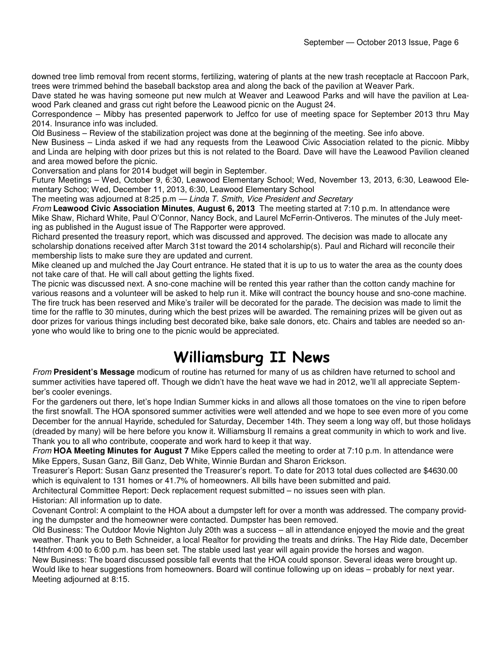downed tree limb removal from recent storms, fertilizing, watering of plants at the new trash receptacle at Raccoon Park, trees were trimmed behind the baseball backstop area and along the back of the pavilion at Weaver Park.

Dave stated he was having someone put new mulch at Weaver and Leawood Parks and will have the pavilion at Leawood Park cleaned and grass cut right before the Leawood picnic on the August 24.

Correspondence – Mibby has presented paperwork to Jeffco for use of meeting space for September 2013 thru May 2014. Insurance info was included.

Old Business – Review of the stabilization project was done at the beginning of the meeting. See info above.

New Business – Linda asked if we had any requests from the Leawood Civic Association related to the picnic. Mibby and Linda are helping with door prizes but this is not related to the Board. Dave will have the Leawood Pavilion cleaned and area mowed before the picnic.

Conversation and plans for 2014 budget will begin in September.

Future Meetings – Wed, October 9, 6:30, Leawood Elementary School; Wed, November 13, 2013, 6:30, Leawood Elementary Schoo; Wed, December 11, 2013, 6:30, Leawood Elementary School

The meeting was adjourned at 8:25 p.m - Linda T. Smith, Vice President and Secretary

From **Leawood Civic Association Minutes**, **August 6, 2013** The meeting started at 7:10 p.m. In attendance were Mike Shaw, Richard White, Paul O'Connor, Nancy Bock, and Laurel McFerrin-Ontiveros. The minutes of the July meeting as published in the August issue of The Rapporter were approved.

Richard presented the treasury report, which was discussed and approved. The decision was made to allocate any scholarship donations received after March 31st toward the 2014 scholarship(s). Paul and Richard will reconcile their membership lists to make sure they are updated and current.

Mike cleaned up and mulched the Jay Court entrance. He stated that it is up to us to water the area as the county does not take care of that. He will call about getting the lights fixed.

The picnic was discussed next. A sno-cone machine will be rented this year rather than the cotton candy machine for various reasons and a volunteer will be asked to help run it. Mike will contract the bouncy house and sno-cone machine. The fire truck has been reserved and Mike's trailer will be decorated for the parade. The decision was made to limit the time for the raffle to 30 minutes, during which the best prizes will be awarded. The remaining prizes will be given out as door prizes for various things including best decorated bike, bake sale donors, etc. Chairs and tables are needed so anyone who would like to bring one to the picnic would be appreciated.

# Williamsburg II News

From **President's Message** modicum of routine has returned for many of us as children have returned to school and summer activities have tapered off. Though we didn't have the heat wave we had in 2012, we'll all appreciate September's cooler evenings.

For the gardeners out there, let's hope Indian Summer kicks in and allows all those tomatoes on the vine to ripen before the first snowfall. The HOA sponsored summer activities were well attended and we hope to see even more of you come December for the annual Hayride, scheduled for Saturday, December 14th. They seem a long way off, but those holidays (dreaded by many) will be here before you know it. Williamsburg II remains a great community in which to work and live. Thank you to all who contribute, cooperate and work hard to keep it that way.

From **HOA Meeting Minutes for August 7** Mike Eppers called the meeting to order at 7:10 p.m. In attendance were Mike Eppers, Susan Ganz, Bill Ganz, Deb White, Winnie Burdan and Sharon Erickson.

Treasurer's Report: Susan Ganz presented the Treasurer's report. To date for 2013 total dues collected are \$4630.00 which is equivalent to 131 homes or 41.7% of homeowners. All bills have been submitted and paid.

Architectural Committee Report: Deck replacement request submitted – no issues seen with plan. Historian: All information up to date.

Covenant Control: A complaint to the HOA about a dumpster left for over a month was addressed. The company providing the dumpster and the homeowner were contacted. Dumpster has been removed.

Old Business: The Outdoor Movie Nighton July 20th was a success – all in attendance enjoyed the movie and the great weather. Thank you to Beth Schneider, a local Realtor for providing the treats and drinks. The Hay Ride date, December 14thfrom 4:00 to 6:00 p.m. has been set. The stable used last year will again provide the horses and wagon.

New Business: The board discussed possible fall events that the HOA could sponsor. Several ideas were brought up. Would like to hear suggestions from homeowners. Board will continue following up on ideas – probably for next year. Meeting adjourned at 8:15.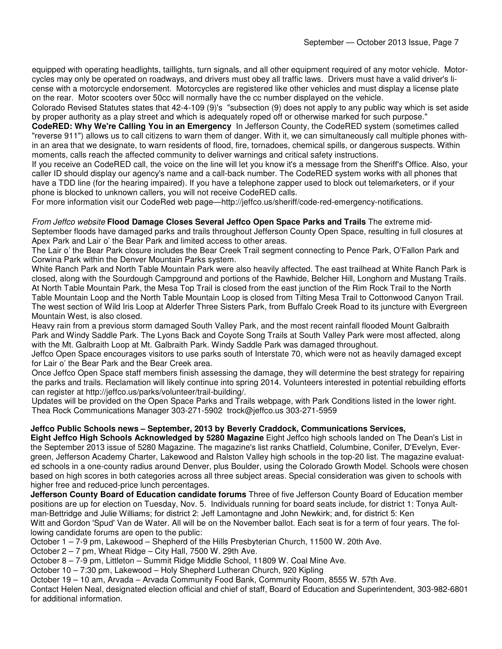equipped with operating headlights, taillights, turn signals, and all other equipment required of any motor vehicle. Motorcycles may only be operated on roadways, and drivers must obey all traffic laws. Drivers must have a valid driver's license with a motorcycle endorsement. Motorcycles are registered like other vehicles and must display a license plate on the rear. Motor scooters over 50cc will normally have the cc number displayed on the vehicle.

Colorado Revised Statutes states that 42-4-109 (9)'s "subsection (9) does not apply to any public way which is set aside by proper authority as a play street and which is adequately roped off or otherwise marked for such purpose."

**CodeRED: Why We're Calling You in an Emergency** In Jefferson County, the CodeRED system (sometimes called "reverse 911") allows us to call citizens to warn them of danger. With it, we can simultaneously call multiple phones within an area that we designate, to warn residents of flood, fire, tornadoes, chemical spills, or dangerous suspects. Within moments, calls reach the affected community to deliver warnings and critical safety instructions.

If you receive an CodeRED call, the voice on the line will let you know it's a message from the Sheriff's Office. Also, your caller ID should display our agency's name and a call-back number. The CodeRED system works with all phones that have a TDD line (for the hearing impaired). If you have a telephone zapper used to block out telemarketers, or if your phone is blocked to unknown callers, you will not receive CodeRED calls.

For more information visit our CodeRed web page—http://jeffco.us/sheriff/code-red-emergency-notifications.

#### From Jeffco website **Flood Damage Closes Several Jeffco Open Space Parks and Trails** The extreme mid-

September floods have damaged parks and trails throughout Jefferson County Open Space, resulting in full closures at Apex Park and Lair o' the Bear Park and limited access to other areas.

The Lair o' the Bear Park closure includes the Bear Creek Trail segment connecting to Pence Park, O'Fallon Park and Corwina Park within the Denver Mountain Parks system.

White Ranch Park and North Table Mountain Park were also heavily affected. The east trailhead at White Ranch Park is closed, along with the Sourdough Campground and portions of the Rawhide, Belcher Hill, Longhorn and Mustang Trails. At North Table Mountain Park, the Mesa Top Trail is closed from the east junction of the Rim Rock Trail to the North Table Mountain Loop and the North Table Mountain Loop is closed from Tilting Mesa Trail to Cottonwood Canyon Trail. The west section of Wild Iris Loop at Alderfer Three Sisters Park, from Buffalo Creek Road to its juncture with Evergreen Mountain West, is also closed.

Heavy rain from a previous storm damaged South Valley Park, and the most recent rainfall flooded Mount Galbraith Park and Windy Saddle Park. The Lyons Back and Coyote Song Trails at South Valley Park were most affected, along with the Mt. Galbraith Loop at Mt. Galbraith Park. Windy Saddle Park was damaged throughout.

Jeffco Open Space encourages visitors to use parks south of Interstate 70, which were not as heavily damaged except for Lair o' the Bear Park and the Bear Creek area.

Once Jeffco Open Space staff members finish assessing the damage, they will determine the best strategy for repairing the parks and trails. Reclamation will likely continue into spring 2014. Volunteers interested in potential rebuilding efforts can register at http://jeffco.us/parks/volunteer/trail-building/.

Updates will be provided on the Open Space Parks and Trails webpage, with Park Conditions listed in the lower right. Thea Rock Communications Manager 303-271-5902 trock@jeffco.us 303-271-5959

### **Jeffco Public Schools news – September, 2013 by Beverly Craddock, Communications Services,**

**Eight Jeffco High Schools Acknowledged by 5280 Magazine** Eight Jeffco high schools landed on The Dean's List in the September 2013 issue of 5280 Magazine. The magazine's list ranks Chatfield, Columbine, Conifer, D'Evelyn, Evergreen, Jefferson Academy Charter, Lakewood and Ralston Valley high schools in the top-20 list. The magazine evaluated schools in a one-county radius around Denver, plus Boulder, using the Colorado Growth Model. Schools were chosen based on high scores in both categories across all three subject areas. Special consideration was given to schools with higher free and reduced-price lunch percentages.

**Jefferson County Board of Education candidate forums** Three of five Jefferson County Board of Education member positions are up for election on Tuesday, Nov. 5. Individuals running for board seats include, for district 1: Tonya Aultman-Bettridge and Julie Williams; for district 2: Jeff Lamontagne and John Newkirk; and, for district 5: Ken Witt and Gordon 'Spud' Van de Water. All will be on the November ballot. Each seat is for a term of four years. The following candidate forums are open to the public:

October 1 – 7-9 pm, Lakewood – Shepherd of the Hills Presbyterian Church, 11500 W. 20th Ave.

October 2 – 7 pm, Wheat Ridge – City Hall, 7500 W. 29th Ave.

October 8 – 7-9 pm, Littleton – Summit Ridge Middle School, 11809 W. Coal Mine Ave.

October 10 – 7:30 pm, Lakewood – Holy Shepherd Lutheran Church, 920 Kipling

October 19 – 10 am, Arvada – Arvada Community Food Bank, Community Room, 8555 W. 57th Ave.

Contact Helen Neal, designated election official and chief of staff, Board of Education and Superintendent, 303-982-6801 for additional information.